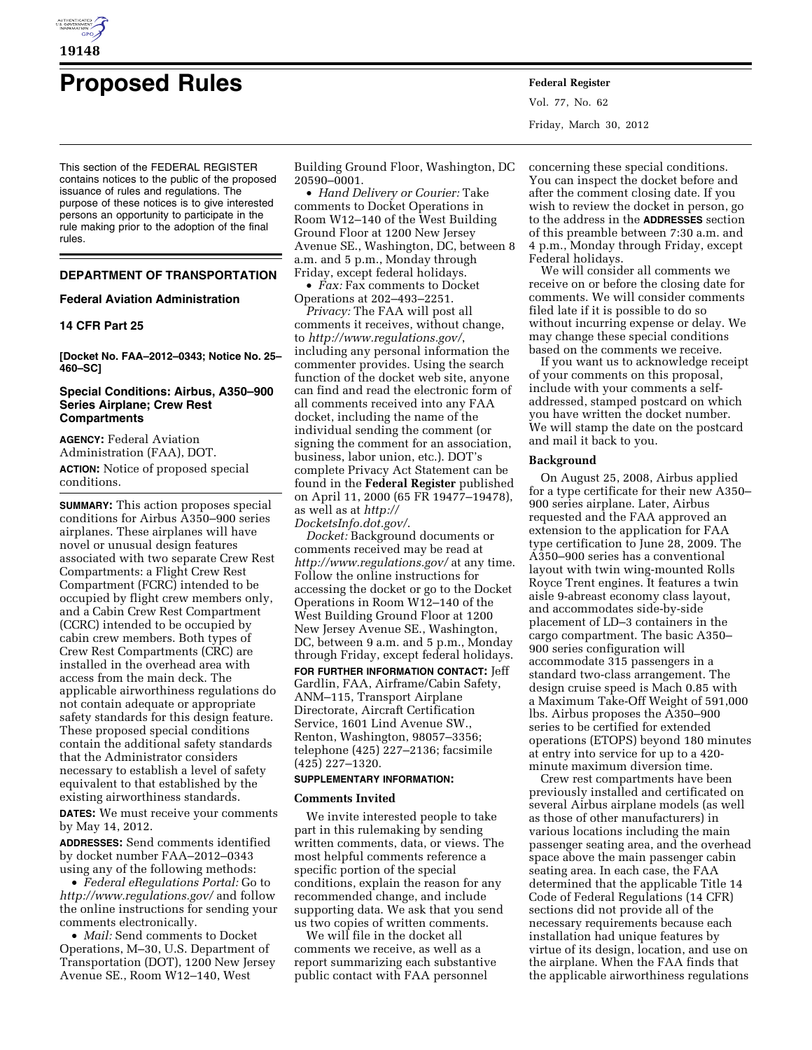

# **Proposed Rules Federal Register**

This section of the FEDERAL REGISTER contains notices to the public of the proposed issuance of rules and regulations. The purpose of these notices is to give interested persons an opportunity to participate in the rule making prior to the adoption of the final rules.

# **DEPARTMENT OF TRANSPORTATION**

# **Federal Aviation Administration**

# **14 CFR Part 25**

**[Docket No. FAA–2012–0343; Notice No. 25– 460–SC]** 

# **Special Conditions: Airbus, A350–900 Series Airplane; Crew Rest Compartments**

**AGENCY:** Federal Aviation Administration (FAA), DOT. **ACTION:** Notice of proposed special conditions.

**SUMMARY:** This action proposes special conditions for Airbus A350–900 series airplanes. These airplanes will have novel or unusual design features associated with two separate Crew Rest Compartments: a Flight Crew Rest Compartment (FCRC) intended to be occupied by flight crew members only, and a Cabin Crew Rest Compartment (CCRC) intended to be occupied by cabin crew members. Both types of Crew Rest Compartments (CRC) are installed in the overhead area with access from the main deck. The applicable airworthiness regulations do not contain adequate or appropriate safety standards for this design feature. These proposed special conditions contain the additional safety standards that the Administrator considers necessary to establish a level of safety equivalent to that established by the existing airworthiness standards.

**DATES:** We must receive your comments by May 14, 2012.

**ADDRESSES:** Send comments identified by docket number FAA–2012–0343 using any of the following methods:

• *Federal eRegulations Portal:* Go to *<http://www.regulations.gov/>*and follow the online instructions for sending your comments electronically.

• *Mail:* Send comments to Docket Operations, M–30, U.S. Department of Transportation (DOT), 1200 New Jersey Avenue SE., Room W12–140, West

Building Ground Floor, Washington, DC 20590–0001.

• *Hand Delivery or Courier:* Take comments to Docket Operations in Room W12–140 of the West Building Ground Floor at 1200 New Jersey Avenue SE., Washington, DC, between 8 a.m. and 5 p.m., Monday through Friday, except federal holidays.

• *Fax:* Fax comments to Docket Operations at 202–493–2251.

*Privacy:* The FAA will post all comments it receives, without change, to *<http://www.regulations.gov/>*, including any personal information the commenter provides. Using the search function of the docket web site, anyone can find and read the electronic form of all comments received into any FAA docket, including the name of the individual sending the comment (or signing the comment for an association, business, labor union, etc.). DOT's complete Privacy Act Statement can be found in the **Federal Register** published on April 11, 2000 (65 FR 19477–19478), as well as at *[http://](http://DocketsInfo.dot.gov/)  [DocketsInfo.dot.gov/](http://DocketsInfo.dot.gov/)*.

*Docket:* Background documents or comments received may be read at *<http://www.regulations.gov/>*at any time. Follow the online instructions for accessing the docket or go to the Docket Operations in Room W12–140 of the West Building Ground Floor at 1200 New Jersey Avenue SE., Washington, DC, between 9 a.m. and 5 p.m., Monday through Friday, except federal holidays.

**FOR FURTHER INFORMATION CONTACT:** Jeff Gardlin, FAA, Airframe/Cabin Safety, ANM–115, Transport Airplane Directorate, Aircraft Certification Service, 1601 Lind Avenue SW., Renton, Washington, 98057–3356; telephone (425) 227–2136; facsimile (425) 227–1320.

# **SUPPLEMENTARY INFORMATION:**

#### **Comments Invited**

We invite interested people to take part in this rulemaking by sending written comments, data, or views. The most helpful comments reference a specific portion of the special conditions, explain the reason for any recommended change, and include supporting data. We ask that you send us two copies of written comments.

We will file in the docket all comments we receive, as well as a report summarizing each substantive public contact with FAA personnel

Vol. 77, No. 62 Friday, March 30, 2012

concerning these special conditions. You can inspect the docket before and after the comment closing date. If you wish to review the docket in person, go to the address in the **ADDRESSES** section of this preamble between 7:30 a.m. and 4 p.m., Monday through Friday, except Federal holidays.

We will consider all comments we receive on or before the closing date for comments. We will consider comments filed late if it is possible to do so without incurring expense or delay. We may change these special conditions based on the comments we receive.

If you want us to acknowledge receipt of your comments on this proposal, include with your comments a selfaddressed, stamped postcard on which you have written the docket number. We will stamp the date on the postcard and mail it back to you.

#### **Background**

On August 25, 2008, Airbus applied for a type certificate for their new A350– 900 series airplane. Later, Airbus requested and the FAA approved an extension to the application for FAA type certification to June 28, 2009. The A350–900 series has a conventional layout with twin wing-mounted Rolls Royce Trent engines. It features a twin aisle 9-abreast economy class layout, and accommodates side-by-side placement of LD–3 containers in the cargo compartment. The basic A350– 900 series configuration will accommodate 315 passengers in a standard two-class arrangement. The design cruise speed is Mach 0.85 with a Maximum Take-Off Weight of 591,000 lbs. Airbus proposes the A350–900 series to be certified for extended operations (ETOPS) beyond 180 minutes at entry into service for up to a 420 minute maximum diversion time.

Crew rest compartments have been previously installed and certificated on several Airbus airplane models (as well as those of other manufacturers) in various locations including the main passenger seating area, and the overhead space above the main passenger cabin seating area. In each case, the FAA determined that the applicable Title 14 Code of Federal Regulations (14 CFR) sections did not provide all of the necessary requirements because each installation had unique features by virtue of its design, location, and use on the airplane. When the FAA finds that the applicable airworthiness regulations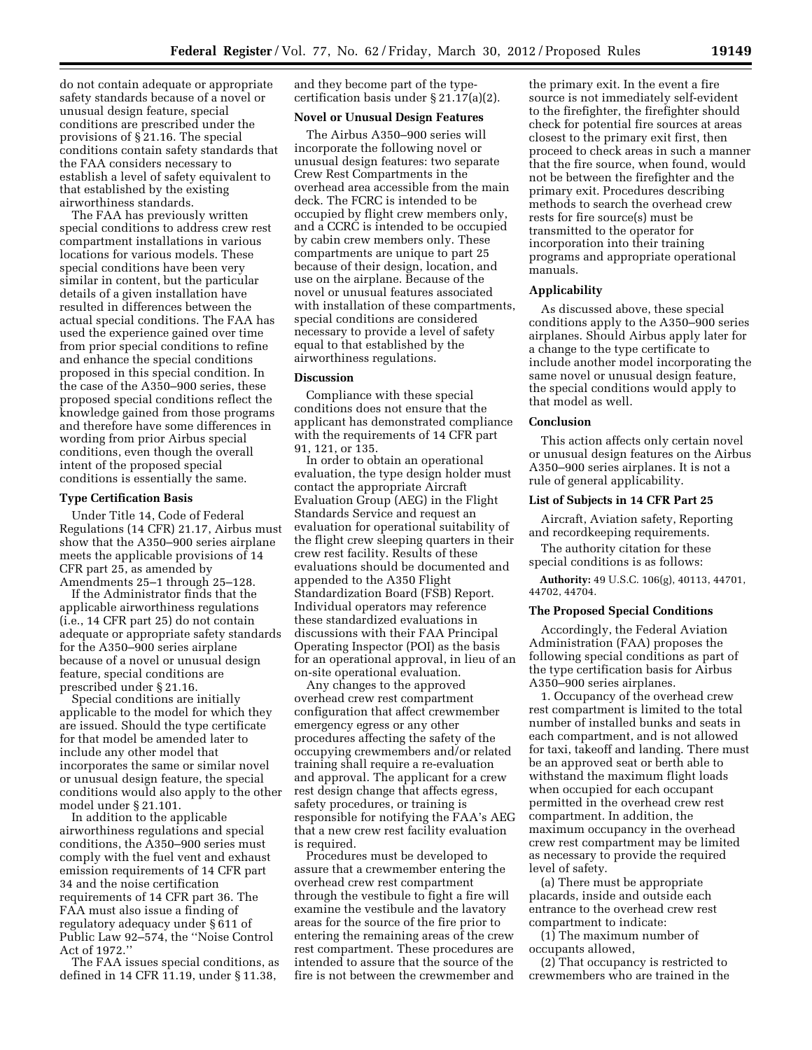do not contain adequate or appropriate safety standards because of a novel or unusual design feature, special conditions are prescribed under the provisions of § 21.16. The special conditions contain safety standards that the FAA considers necessary to establish a level of safety equivalent to that established by the existing airworthiness standards.

The FAA has previously written special conditions to address crew rest compartment installations in various locations for various models. These special conditions have been very similar in content, but the particular details of a given installation have resulted in differences between the actual special conditions. The FAA has used the experience gained over time from prior special conditions to refine and enhance the special conditions proposed in this special condition. In the case of the A350–900 series, these proposed special conditions reflect the knowledge gained from those programs and therefore have some differences in wording from prior Airbus special conditions, even though the overall intent of the proposed special conditions is essentially the same.

#### **Type Certification Basis**

Under Title 14, Code of Federal Regulations (14 CFR) 21.17, Airbus must show that the A350–900 series airplane meets the applicable provisions of 14 CFR part 25, as amended by Amendments 25–1 through 25–128.

If the Administrator finds that the applicable airworthiness regulations (i.e., 14 CFR part 25) do not contain adequate or appropriate safety standards for the A350–900 series airplane because of a novel or unusual design feature, special conditions are prescribed under § 21.16.

Special conditions are initially applicable to the model for which they are issued. Should the type certificate for that model be amended later to include any other model that incorporates the same or similar novel or unusual design feature, the special conditions would also apply to the other model under § 21.101.

In addition to the applicable airworthiness regulations and special conditions, the A350–900 series must comply with the fuel vent and exhaust emission requirements of 14 CFR part 34 and the noise certification requirements of 14 CFR part 36. The FAA must also issue a finding of regulatory adequacy under § 611 of Public Law 92–574, the ''Noise Control Act of 1972.''

The FAA issues special conditions, as defined in 14 CFR 11.19, under § 11.38,

and they become part of the typecertification basis under § 21.17(a)(2).

# **Novel or Unusual Design Features**

The Airbus A350–900 series will incorporate the following novel or unusual design features: two separate Crew Rest Compartments in the overhead area accessible from the main deck. The FCRC is intended to be occupied by flight crew members only, and a CCRC is intended to be occupied by cabin crew members only. These compartments are unique to part 25 because of their design, location, and use on the airplane. Because of the novel or unusual features associated with installation of these compartments, special conditions are considered necessary to provide a level of safety equal to that established by the airworthiness regulations.

# **Discussion**

Compliance with these special conditions does not ensure that the applicant has demonstrated compliance with the requirements of 14 CFR part 91, 121, or 135.

In order to obtain an operational evaluation, the type design holder must contact the appropriate Aircraft Evaluation Group (AEG) in the Flight Standards Service and request an evaluation for operational suitability of the flight crew sleeping quarters in their crew rest facility. Results of these evaluations should be documented and appended to the A350 Flight Standardization Board (FSB) Report. Individual operators may reference these standardized evaluations in discussions with their FAA Principal Operating Inspector (POI) as the basis for an operational approval, in lieu of an on-site operational evaluation.

Any changes to the approved overhead crew rest compartment configuration that affect crewmember emergency egress or any other procedures affecting the safety of the occupying crewmembers and/or related training shall require a re-evaluation and approval. The applicant for a crew rest design change that affects egress, safety procedures, or training is responsible for notifying the FAA's AEG that a new crew rest facility evaluation is required.

Procedures must be developed to assure that a crewmember entering the overhead crew rest compartment through the vestibule to fight a fire will examine the vestibule and the lavatory areas for the source of the fire prior to entering the remaining areas of the crew rest compartment. These procedures are intended to assure that the source of the fire is not between the crewmember and

the primary exit. In the event a fire source is not immediately self-evident to the firefighter, the firefighter should check for potential fire sources at areas closest to the primary exit first, then proceed to check areas in such a manner that the fire source, when found, would not be between the firefighter and the primary exit. Procedures describing methods to search the overhead crew rests for fire source(s) must be transmitted to the operator for incorporation into their training programs and appropriate operational manuals.

## **Applicability**

As discussed above, these special conditions apply to the A350–900 series airplanes. Should Airbus apply later for a change to the type certificate to include another model incorporating the same novel or unusual design feature, the special conditions would apply to that model as well.

#### **Conclusion**

This action affects only certain novel or unusual design features on the Airbus A350–900 series airplanes. It is not a rule of general applicability.

# **List of Subjects in 14 CFR Part 25**

Aircraft, Aviation safety, Reporting and recordkeeping requirements.

The authority citation for these special conditions is as follows:

**Authority:** 49 U.S.C. 106(g), 40113, 44701, 44702, 44704.

## **The Proposed Special Conditions**

Accordingly, the Federal Aviation Administration (FAA) proposes the following special conditions as part of the type certification basis for Airbus A350–900 series airplanes.

1. Occupancy of the overhead crew rest compartment is limited to the total number of installed bunks and seats in each compartment, and is not allowed for taxi, takeoff and landing. There must be an approved seat or berth able to withstand the maximum flight loads when occupied for each occupant permitted in the overhead crew rest compartment. In addition, the maximum occupancy in the overhead crew rest compartment may be limited as necessary to provide the required level of safety.

(a) There must be appropriate placards, inside and outside each entrance to the overhead crew rest compartment to indicate:

(1) The maximum number of occupants allowed,

(2) That occupancy is restricted to crewmembers who are trained in the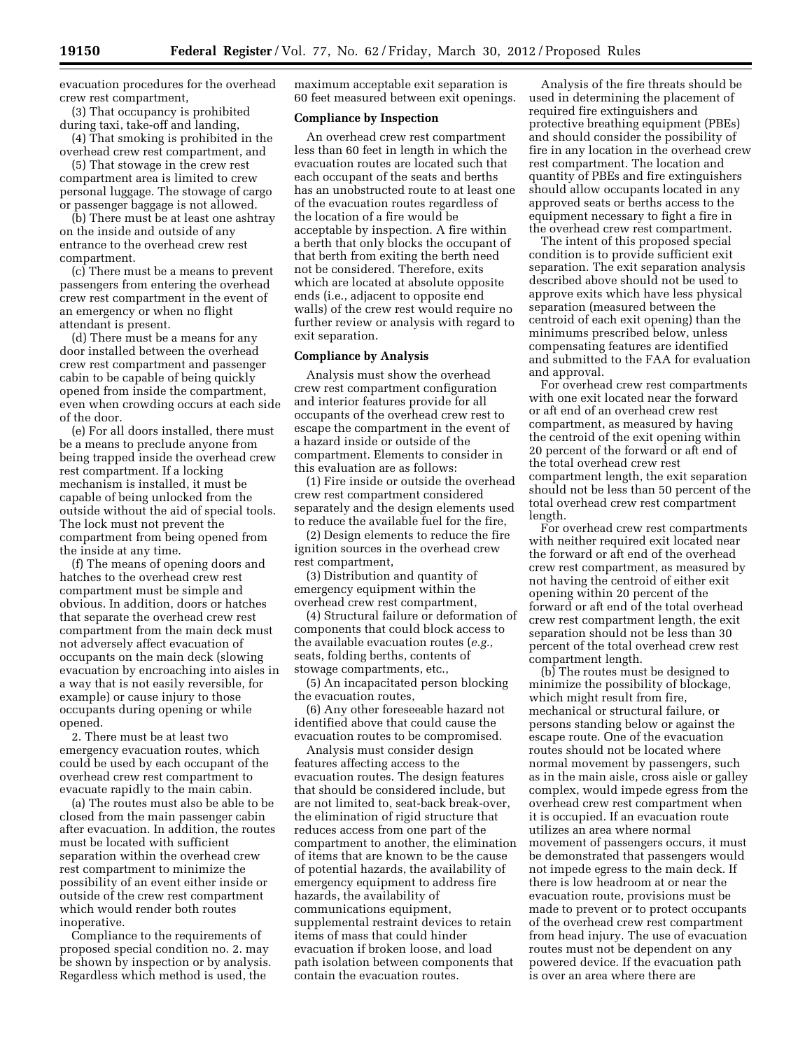evacuation procedures for the overhead crew rest compartment,

(3) That occupancy is prohibited during taxi, take-off and landing,

(4) That smoking is prohibited in the overhead crew rest compartment, and

(5) That stowage in the crew rest compartment area is limited to crew personal luggage. The stowage of cargo or passenger baggage is not allowed.

(b) There must be at least one ashtray on the inside and outside of any entrance to the overhead crew rest compartment.

(c) There must be a means to prevent passengers from entering the overhead crew rest compartment in the event of an emergency or when no flight attendant is present.

(d) There must be a means for any door installed between the overhead crew rest compartment and passenger cabin to be capable of being quickly opened from inside the compartment, even when crowding occurs at each side of the door.

(e) For all doors installed, there must be a means to preclude anyone from being trapped inside the overhead crew rest compartment. If a locking mechanism is installed, it must be capable of being unlocked from the outside without the aid of special tools. The lock must not prevent the compartment from being opened from the inside at any time.

(f) The means of opening doors and hatches to the overhead crew rest compartment must be simple and obvious. In addition, doors or hatches that separate the overhead crew rest compartment from the main deck must not adversely affect evacuation of occupants on the main deck (slowing evacuation by encroaching into aisles in a way that is not easily reversible, for example) or cause injury to those occupants during opening or while opened.

2. There must be at least two emergency evacuation routes, which could be used by each occupant of the overhead crew rest compartment to evacuate rapidly to the main cabin.

(a) The routes must also be able to be closed from the main passenger cabin after evacuation. In addition, the routes must be located with sufficient separation within the overhead crew rest compartment to minimize the possibility of an event either inside or outside of the crew rest compartment which would render both routes inoperative.

Compliance to the requirements of proposed special condition no. 2. may be shown by inspection or by analysis. Regardless which method is used, the

maximum acceptable exit separation is 60 feet measured between exit openings.

# **Compliance by Inspection**

An overhead crew rest compartment less than 60 feet in length in which the evacuation routes are located such that each occupant of the seats and berths has an unobstructed route to at least one of the evacuation routes regardless of the location of a fire would be acceptable by inspection. A fire within a berth that only blocks the occupant of that berth from exiting the berth need not be considered. Therefore, exits which are located at absolute opposite ends (i.e., adjacent to opposite end walls) of the crew rest would require no further review or analysis with regard to exit separation.

# **Compliance by Analysis**

Analysis must show the overhead crew rest compartment configuration and interior features provide for all occupants of the overhead crew rest to escape the compartment in the event of a hazard inside or outside of the compartment. Elements to consider in this evaluation are as follows:

(1) Fire inside or outside the overhead crew rest compartment considered separately and the design elements used to reduce the available fuel for the fire,

(2) Design elements to reduce the fire ignition sources in the overhead crew rest compartment,

(3) Distribution and quantity of emergency equipment within the overhead crew rest compartment,

(4) Structural failure or deformation of components that could block access to the available evacuation routes (*e.g.,*  seats, folding berths, contents of stowage compartments, etc.,

(5) An incapacitated person blocking the evacuation routes,

(6) Any other foreseeable hazard not identified above that could cause the evacuation routes to be compromised.

Analysis must consider design features affecting access to the evacuation routes. The design features that should be considered include, but are not limited to, seat-back break-over, the elimination of rigid structure that reduces access from one part of the compartment to another, the elimination of items that are known to be the cause of potential hazards, the availability of emergency equipment to address fire hazards, the availability of communications equipment, supplemental restraint devices to retain items of mass that could hinder evacuation if broken loose, and load path isolation between components that contain the evacuation routes.

Analysis of the fire threats should be used in determining the placement of required fire extinguishers and protective breathing equipment (PBEs) and should consider the possibility of fire in any location in the overhead crew rest compartment. The location and quantity of PBEs and fire extinguishers should allow occupants located in any approved seats or berths access to the equipment necessary to fight a fire in the overhead crew rest compartment.

The intent of this proposed special condition is to provide sufficient exit separation. The exit separation analysis described above should not be used to approve exits which have less physical separation (measured between the centroid of each exit opening) than the minimums prescribed below, unless compensating features are identified and submitted to the FAA for evaluation and approval.

For overhead crew rest compartments with one exit located near the forward or aft end of an overhead crew rest compartment, as measured by having the centroid of the exit opening within 20 percent of the forward or aft end of the total overhead crew rest compartment length, the exit separation should not be less than 50 percent of the total overhead crew rest compartment length.

For overhead crew rest compartments with neither required exit located near the forward or aft end of the overhead crew rest compartment, as measured by not having the centroid of either exit opening within 20 percent of the forward or aft end of the total overhead crew rest compartment length, the exit separation should not be less than 30 percent of the total overhead crew rest compartment length.

(b) The routes must be designed to minimize the possibility of blockage, which might result from fire, mechanical or structural failure, or persons standing below or against the escape route. One of the evacuation routes should not be located where normal movement by passengers, such as in the main aisle, cross aisle or galley complex, would impede egress from the overhead crew rest compartment when it is occupied. If an evacuation route utilizes an area where normal movement of passengers occurs, it must be demonstrated that passengers would not impede egress to the main deck. If there is low headroom at or near the evacuation route, provisions must be made to prevent or to protect occupants of the overhead crew rest compartment from head injury. The use of evacuation routes must not be dependent on any powered device. If the evacuation path is over an area where there are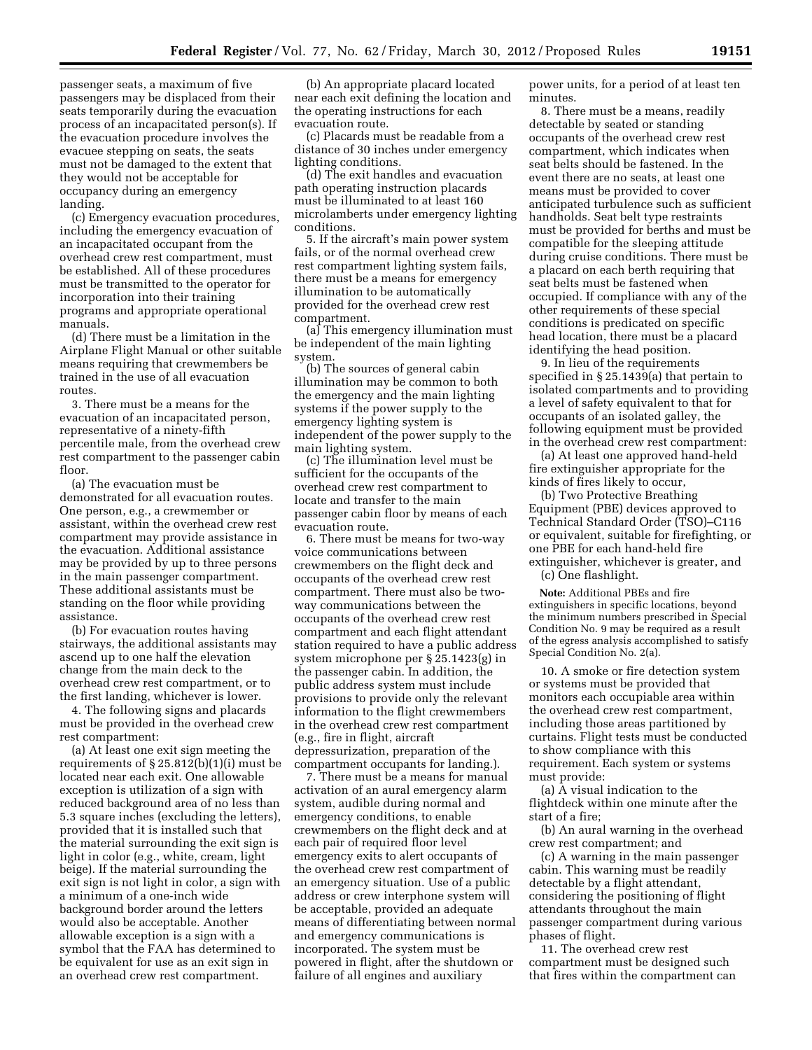passenger seats, a maximum of five passengers may be displaced from their seats temporarily during the evacuation process of an incapacitated person(s). If the evacuation procedure involves the evacuee stepping on seats, the seats must not be damaged to the extent that they would not be acceptable for occupancy during an emergency landing.

(c) Emergency evacuation procedures, including the emergency evacuation of an incapacitated occupant from the overhead crew rest compartment, must be established. All of these procedures must be transmitted to the operator for incorporation into their training programs and appropriate operational manuals.

(d) There must be a limitation in the Airplane Flight Manual or other suitable means requiring that crewmembers be trained in the use of all evacuation routes.

3. There must be a means for the evacuation of an incapacitated person, representative of a ninety-fifth percentile male, from the overhead crew rest compartment to the passenger cabin floor.

(a) The evacuation must be demonstrated for all evacuation routes. One person, e.g., a crewmember or assistant, within the overhead crew rest compartment may provide assistance in the evacuation. Additional assistance may be provided by up to three persons in the main passenger compartment. These additional assistants must be standing on the floor while providing assistance.

(b) For evacuation routes having stairways, the additional assistants may ascend up to one half the elevation change from the main deck to the overhead crew rest compartment, or to the first landing, whichever is lower.

4. The following signs and placards must be provided in the overhead crew rest compartment:

(a) At least one exit sign meeting the requirements of  $\S 25.812(b)(1)(i)$  must be located near each exit. One allowable exception is utilization of a sign with reduced background area of no less than 5.3 square inches (excluding the letters), provided that it is installed such that the material surrounding the exit sign is light in color (e.g., white, cream, light beige). If the material surrounding the exit sign is not light in color, a sign with a minimum of a one-inch wide background border around the letters would also be acceptable. Another allowable exception is a sign with a symbol that the FAA has determined to be equivalent for use as an exit sign in an overhead crew rest compartment.

(b) An appropriate placard located near each exit defining the location and the operating instructions for each evacuation route.

(c) Placards must be readable from a distance of 30 inches under emergency lighting conditions.

(d) The exit handles and evacuation path operating instruction placards must be illuminated to at least 160 microlamberts under emergency lighting conditions.

5. If the aircraft's main power system fails, or of the normal overhead crew rest compartment lighting system fails, there must be a means for emergency illumination to be automatically provided for the overhead crew rest compartment.

(a) This emergency illumination must be independent of the main lighting system.

(b) The sources of general cabin illumination may be common to both the emergency and the main lighting systems if the power supply to the emergency lighting system is independent of the power supply to the main lighting system.

(c) The illumination level must be sufficient for the occupants of the overhead crew rest compartment to locate and transfer to the main passenger cabin floor by means of each evacuation route.

6. There must be means for two-way voice communications between crewmembers on the flight deck and occupants of the overhead crew rest compartment. There must also be twoway communications between the occupants of the overhead crew rest compartment and each flight attendant station required to have a public address system microphone per § 25.1423(g) in the passenger cabin. In addition, the public address system must include provisions to provide only the relevant information to the flight crewmembers in the overhead crew rest compartment (e.g., fire in flight, aircraft depressurization, preparation of the compartment occupants for landing.).

7. There must be a means for manual activation of an aural emergency alarm system, audible during normal and emergency conditions, to enable crewmembers on the flight deck and at each pair of required floor level emergency exits to alert occupants of the overhead crew rest compartment of an emergency situation. Use of a public address or crew interphone system will be acceptable, provided an adequate means of differentiating between normal and emergency communications is incorporated. The system must be powered in flight, after the shutdown or failure of all engines and auxiliary

power units, for a period of at least ten minutes.

8. There must be a means, readily detectable by seated or standing occupants of the overhead crew rest compartment, which indicates when seat belts should be fastened. In the event there are no seats, at least one means must be provided to cover anticipated turbulence such as sufficient handholds. Seat belt type restraints must be provided for berths and must be compatible for the sleeping attitude during cruise conditions. There must be a placard on each berth requiring that seat belts must be fastened when occupied. If compliance with any of the other requirements of these special conditions is predicated on specific head location, there must be a placard identifying the head position.

9. In lieu of the requirements specified in § 25.1439(a) that pertain to isolated compartments and to providing a level of safety equivalent to that for occupants of an isolated galley, the following equipment must be provided in the overhead crew rest compartment:

(a) At least one approved hand-held fire extinguisher appropriate for the kinds of fires likely to occur,

(b) Two Protective Breathing Equipment (PBE) devices approved to Technical Standard Order (TSO)–C116 or equivalent, suitable for firefighting, or one PBE for each hand-held fire extinguisher, whichever is greater, and

(c) One flashlight.

**Note:** Additional PBEs and fire extinguishers in specific locations, beyond the minimum numbers prescribed in Special Condition No. 9 may be required as a result of the egress analysis accomplished to satisfy Special Condition No. 2(a).

10. A smoke or fire detection system or systems must be provided that monitors each occupiable area within the overhead crew rest compartment, including those areas partitioned by curtains. Flight tests must be conducted to show compliance with this requirement. Each system or systems must provide:

(a) A visual indication to the flightdeck within one minute after the start of a fire;

(b) An aural warning in the overhead crew rest compartment; and

(c) A warning in the main passenger cabin. This warning must be readily detectable by a flight attendant, considering the positioning of flight attendants throughout the main passenger compartment during various phases of flight.

11. The overhead crew rest compartment must be designed such that fires within the compartment can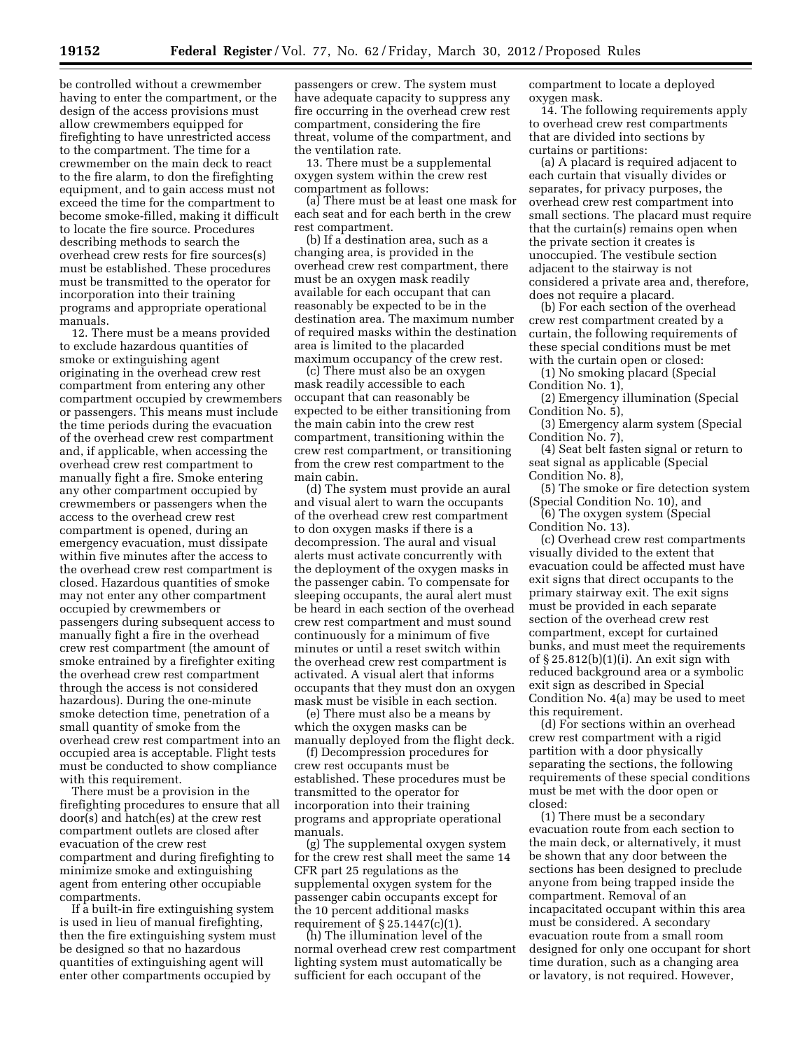be controlled without a crewmember having to enter the compartment, or the design of the access provisions must allow crewmembers equipped for firefighting to have unrestricted access to the compartment. The time for a crewmember on the main deck to react to the fire alarm, to don the firefighting equipment, and to gain access must not exceed the time for the compartment to become smoke-filled, making it difficult to locate the fire source. Procedures describing methods to search the overhead crew rests for fire sources(s) must be established. These procedures must be transmitted to the operator for incorporation into their training programs and appropriate operational manuals.

12. There must be a means provided to exclude hazardous quantities of smoke or extinguishing agent originating in the overhead crew rest compartment from entering any other compartment occupied by crewmembers or passengers. This means must include the time periods during the evacuation of the overhead crew rest compartment and, if applicable, when accessing the overhead crew rest compartment to manually fight a fire. Smoke entering any other compartment occupied by crewmembers or passengers when the access to the overhead crew rest compartment is opened, during an emergency evacuation, must dissipate within five minutes after the access to the overhead crew rest compartment is closed. Hazardous quantities of smoke may not enter any other compartment occupied by crewmembers or passengers during subsequent access to manually fight a fire in the overhead crew rest compartment (the amount of smoke entrained by a firefighter exiting the overhead crew rest compartment through the access is not considered hazardous). During the one-minute smoke detection time, penetration of a small quantity of smoke from the overhead crew rest compartment into an occupied area is acceptable. Flight tests must be conducted to show compliance with this requirement.

There must be a provision in the firefighting procedures to ensure that all door(s) and hatch(es) at the crew rest compartment outlets are closed after evacuation of the crew rest compartment and during firefighting to minimize smoke and extinguishing agent from entering other occupiable compartments.

If a built-in fire extinguishing system is used in lieu of manual firefighting, then the fire extinguishing system must be designed so that no hazardous quantities of extinguishing agent will enter other compartments occupied by

passengers or crew. The system must have adequate capacity to suppress any fire occurring in the overhead crew rest compartment, considering the fire threat, volume of the compartment, and the ventilation rate.

13. There must be a supplemental oxygen system within the crew rest compartment as follows:

(a) There must be at least one mask for each seat and for each berth in the crew rest compartment.

(b) If a destination area, such as a changing area, is provided in the overhead crew rest compartment, there must be an oxygen mask readily available for each occupant that can reasonably be expected to be in the destination area. The maximum number of required masks within the destination area is limited to the placarded maximum occupancy of the crew rest.

(c) There must also be an oxygen mask readily accessible to each occupant that can reasonably be expected to be either transitioning from the main cabin into the crew rest compartment, transitioning within the crew rest compartment, or transitioning from the crew rest compartment to the main cabin.

(d) The system must provide an aural and visual alert to warn the occupants of the overhead crew rest compartment to don oxygen masks if there is a decompression. The aural and visual alerts must activate concurrently with the deployment of the oxygen masks in the passenger cabin. To compensate for sleeping occupants, the aural alert must be heard in each section of the overhead crew rest compartment and must sound continuously for a minimum of five minutes or until a reset switch within the overhead crew rest compartment is activated. A visual alert that informs occupants that they must don an oxygen mask must be visible in each section.

(e) There must also be a means by which the oxygen masks can be manually deployed from the flight deck.

(f) Decompression procedures for crew rest occupants must be established. These procedures must be transmitted to the operator for incorporation into their training programs and appropriate operational manuals.

(g) The supplemental oxygen system for the crew rest shall meet the same 14 CFR part 25 regulations as the supplemental oxygen system for the passenger cabin occupants except for the 10 percent additional masks requirement of  $\S 25.1447(c)(1)$ 

(h) The illumination level of the normal overhead crew rest compartment lighting system must automatically be sufficient for each occupant of the

compartment to locate a deployed oxygen mask.

14. The following requirements apply to overhead crew rest compartments that are divided into sections by curtains or partitions:

(a) A placard is required adjacent to each curtain that visually divides or separates, for privacy purposes, the overhead crew rest compartment into small sections. The placard must require that the curtain(s) remains open when the private section it creates is unoccupied. The vestibule section adjacent to the stairway is not considered a private area and, therefore, does not require a placard.

(b) For each section of the overhead crew rest compartment created by a curtain, the following requirements of these special conditions must be met with the curtain open or closed:

(1) No smoking placard (Special Condition No. 1),

(2) Emergency illumination (Special Condition No. 5),

(3) Emergency alarm system (Special Condition No. 7),

(4) Seat belt fasten signal or return to seat signal as applicable (Special Condition No. 8),

(5) The smoke or fire detection system (Special Condition No. 10), and

(6) The oxygen system (Special Condition No. 13).

(c) Overhead crew rest compartments visually divided to the extent that evacuation could be affected must have exit signs that direct occupants to the primary stairway exit. The exit signs must be provided in each separate section of the overhead crew rest compartment, except for curtained bunks, and must meet the requirements of § 25.812(b)(1)(i). An exit sign with reduced background area or a symbolic exit sign as described in Special Condition No. 4(a) may be used to meet this requirement.

(d) For sections within an overhead crew rest compartment with a rigid partition with a door physically separating the sections, the following requirements of these special conditions must be met with the door open or closed:

(1) There must be a secondary evacuation route from each section to the main deck, or alternatively, it must be shown that any door between the sections has been designed to preclude anyone from being trapped inside the compartment. Removal of an incapacitated occupant within this area must be considered. A secondary evacuation route from a small room designed for only one occupant for short time duration, such as a changing area or lavatory, is not required. However,